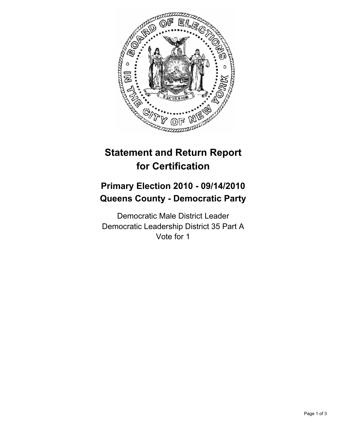

# **Statement and Return Report for Certification**

## **Primary Election 2010 - 09/14/2010 Queens County - Democratic Party**

Democratic Male District Leader Democratic Leadership District 35 Part A Vote for 1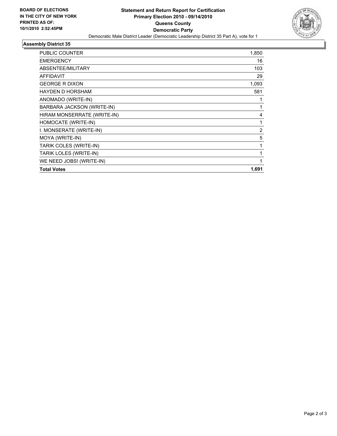

## **Assembly District 35**

| <b>PUBLIC COUNTER</b>       | 1,850 |
|-----------------------------|-------|
| <b>EMERGENCY</b>            | 16    |
| ABSENTEE/MILITARY           | 103   |
| <b>AFFIDAVIT</b>            | 29    |
| <b>GEORGE R DIXON</b>       | 1,093 |
| <b>HAYDEN D HORSHAM</b>     | 581   |
| ANOMADO (WRITE-IN)          | 1     |
| BARBARA JACKSON (WRITE-IN)  | 1     |
| HIRAM MONSERRATE (WRITE-IN) | 4     |
| HOMOCATE (WRITE-IN)         | 1     |
| I. MONSERATE (WRITE-IN)     | 2     |
| MOYA (WRITE-IN)             | 5     |
| TARIK COLES (WRITE-IN)      | 1     |
| TARIK LOLES (WRITE-IN)      | 1     |
| WE NEED JOBS! (WRITE-IN)    | 1     |
| <b>Total Votes</b>          | 1,691 |